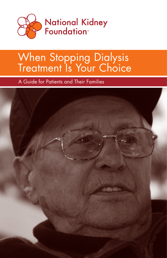

# When Stopping Dialysis Treatment Is Your Choice

A Guide for Patients and Their Families

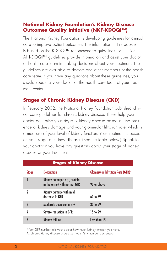## **National Kidney Foundation's Kidney Disease Outcomes Quality Initiative (NKF-KDOQI™)**

The National Kidney Foundation is developing guidelines for clinical care to improve patient outcomes. The information in this booklet is based on the KDOQI™ recommended guidelines for nutrition. All KDOQI™ guidelines provide information and assist your doctor or health care team in making decisions about your treatment. The guidelines are available to doctors and other members of the health care team. If you have any questions about these guidelines, you should speak to your doctor or the health care team at your treatment center.

# **Stages of Chronic Kidney Disease (CKD)**

In February 2002, the National Kidney Foundation published clinical care guidelines for chronic kidney disease. These help your doctor determine your stage of kidney disease based on the presence of kidney damage and your glomerular filtration rate, which is a measure of your level of kidney function. Your treatment is based on your stage of kidney disease. (See the table below.) Speak to your doctor if you have any questions about your stage of kidney disease or your treatment.

| <b>Stages of Kidney Disease</b> |                                                               |                                          |  |  |  |  |
|---------------------------------|---------------------------------------------------------------|------------------------------------------|--|--|--|--|
| Stage                           | <b>Description</b>                                            | <b>Glomerular Filtration Rate (GFR)*</b> |  |  |  |  |
|                                 | Kidney damage (e.g., protein<br>in the urine) with normal GFR | 90 or above                              |  |  |  |  |
| 2                               | Kidney damage with mild<br>decrease in GFR                    | 60 to 89                                 |  |  |  |  |
| 3                               | Moderate decrease in GFR                                      | 30 to 59                                 |  |  |  |  |
| 4                               | Severe reduction in GFR                                       | 15 to 29                                 |  |  |  |  |
| 5                               | <b>Kidney failure</b>                                         | Less than 15                             |  |  |  |  |

\*Your GFR number tells your doctor how much kidney function you have. As chronic kidney disease progresses, your GFR number decreases.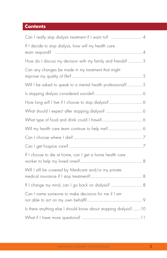# **Contents**

| If I decide to stop dialysis, how will my health care             |
|-------------------------------------------------------------------|
| How do I discuss my decision with my family and friends?  5       |
| Can any changes be made in my treatment that might                |
| Will I be asked to speak to a mental health professional? 5       |
|                                                                   |
|                                                                   |
|                                                                   |
|                                                                   |
|                                                                   |
|                                                                   |
|                                                                   |
| If I choose to die at home, can I get a home health care          |
| Will I still be covered by Medicare and/or my private             |
|                                                                   |
| Can I name someone to make decisions for me if I am               |
| Is there anything else I should know about stopping dialysis?  10 |
|                                                                   |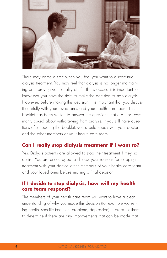

There may come a time when you feel you want to discontinue dialysis treatment. You may feel that dialysis is no longer maintaining or improving your quality of life. If this occurs, it is important to know that you have the right to make the decision to stop dialysis. However, before making this decision, it is important that you discuss it carefully with your loved ones and your health care team. This booklet has been written to answer the questions that are most commonly asked about withdrawing from dialysis. If you still have questions after reading the booklet, you should speak with your doctor and the other members of your health care team.

# **Can I really stop dialysis treatment if I want to?**

Yes. Dialysis patients are allowed to stop their treatment if they so desire. You are encouraged to discuss your reasons for stopping treatment with your doctor, other members of your health care team and your loved ones before making a final decision.

#### **If I decide to stop dialysis, how will my health care team respond?**

The members of your health care team will want to have a clear understanding of why you made this decision (for example worsening health, specific treatment problems, depression) in order for them to determine if there are any improvements that can be made that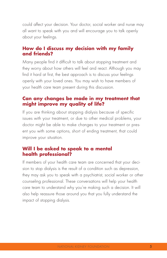could affect your decision. Your doctor, social worker and nurse may all want to speak with you and will encourage you to talk openly about your feelings.

### **How do I discuss my decision with my family and friends?**

Many people find it difficult to talk about stopping treatment and they worry about how others will feel and react. Although you may find it hard at first, the best approach is to discuss your feelings openly with your loved ones. You may wish to have members of your health care team present during this discussion.

#### **Can any changes be made in my treatment that might improve my quality of life?**

If you are thinking about stopping dialysis because of specific issues with your treatment, or due to other medical problems, your doctor might be able to make changes to your treatment or present you with some options, short of ending treatment, that could improve your situation.

### **Will I be asked to speak to a mental health professional?**

If members of your health care team are concerned that your decision to stop dialysis is the result of a condition such as depression, they may ask you to speak with a psychiatrist, social worker or other counseling professional. These conversations will help your health care team to understand why you're making such a decision. It will also help reassure those around you that you fully understand the impact of stopping dialysis.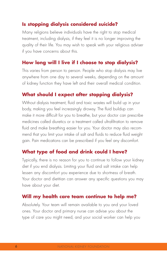## **Is stopping dialysis considered suicide?**

Many religions believe individuals have the right to stop medical treatment, including dialysis, if they feel it is no longer improving the quality of their life. You may wish to speak with your religious adviser if you have concerns about this.

## **How long will I live if I choose to stop dialysis?**

This varies from person to person. People who stop dialysis may live anywhere from one day to several weeks, depending on the amount of kidney function they have left and their overall medical condition.

#### **What should I expect after stopping dialysis?**

Without dialysis treatment, fluid and toxic wastes will build up in your body, making you feel increasingly drowsy. The fluid buildup can make it more difficult for you to breathe, but your doctor can prescribe medicines called diuretics or a treatment called ultrafiltration to remove fluid and make breathing easier for you. Your doctor may also recommend that you limit your intake of salt and fluids to reduce fluid weight gain. Pain medications can be prescribed if you feel any discomfort.

## **What type of food and drink could I have?**

Typically, there is no reason for you to continue to follow your kidney diet if you end dialysis. Limiting your fluid and salt intake can help lessen any discomfort you experience due to shortness of breath. Your doctor and dietitian can answer any specific questions you may have about your diet.

## **Will my health care team continue to help me?**

Absolutely. Your team will remain available to you and your loved ones. Your doctor and primary nurse can advise you about the type of care you might need, and your social worker can help you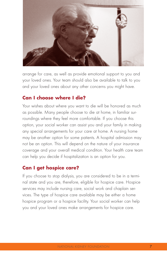

arrange for care, as well as provide emotional support to you and your loved ones. Your team should also be available to talk to you and your loved ones about any other concerns you might have.

#### **Can I choose where I die?**

Your wishes about where you want to die will be honored as much as possible. Many people choose to die at home, in familiar surroundings where they feel more comfortable. If you choose this option, your social worker can assist you and your family in making any special arrangements for your care at home. A nursing home may be another option for some patients. A hospital admission may not be an option. This will depend on the nature of your insurance coverage and your overall medical condition. Your health care team can help you decide if hospitalization is an option for you.

## **Can I get hospice care?**

If you choose to stop dialysis, you are considered to be in a terminal state and you are, therefore, eligible for hospice care. Hospice services may include nursing care, social work and chaplain services. The type of hospice care available may be either a home hospice program or a hospice facility. Your social worker can help you and your loved ones make arrangements for hospice care.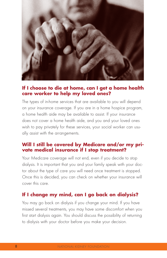

#### **If I choose to die at home, can I get a home health care worker to help my loved ones?**

The types of in-home services that are available to you will depend on your insurance coverage. If you are in a home hospice program, a home health aide may be available to assist. If your insurance does not cover a home health aide, and you and your loved ones wish to pay privately for these services, your social worker can usually assist with the arrangements.

#### **Will I still be covered by Medicare and/or my private medical insurance if I stop treatment?**

Your Medicare coverage will not end, even if you decide to stop dialysis. It is important that you and your family speak with your doctor about the type of care you will need once treatment is stopped. Once this is decided, you can check on whether your insurance will cover this care.

# **If I change my mind, can I go back on dialysis?**

You may go back on dialysis if you change your mind. If you have missed several treatments, you may have some discomfort when you first start dialysis again. You should discuss the possibility of returning to dialysis with your doctor before you make your decision.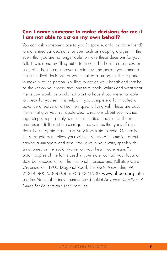#### **Can I name someone to make decisions for me if I am not able to act on my own behalf?**

You can ask someone close to you (a spouse, child, or close friend) to make medical decisions for you—such as stopping dialysis-—in the event that you are no longer able to make these decisions for yourself. This is done by filling out a form called a health care proxy or a durable health care power of attorney. The person you name to make medical decisions for you is called a surrogate. It is important to make sure the person is willing to act on your behalf and that he or she knows your short- and long-term goals, values and what treatments you would or would not want to have if you were not able to speak for yourself. It is helpful if you complete a form called an advance directive or a treatment-specific living will. These are documents that give your surrogate clear directions about your wishes regarding stopping dialysis or other medical treatments. The role and responsibilities of the surrogate, as well as the types of decisions the surrogate may make, vary from state to state. Generally, the surrogate must follow your wishes. For more information about naming a surrogate and about the laws in your state, speak with an attorney or the social worker on your health care team. To obtain copies of the forms used in your state, contact your local or state bar association or The National Hospice and Palliative Care Organization, 1700 Diagonal Road, Ste. 625, Alexandria, VA 22314, 800.658.8898 or 703.837.1500, www.nhpco.org (also see the National Kidney Foundation's booklet Advance Directives: A Guide for Patients and Their Families).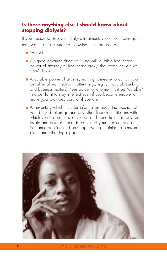## **Is there anything else I should know about stopping dialysis?**

If you decide to stop your dialysis treatment, you or your surrogate may want to make sure the following items are in order:

- Your will.
- A signed advance directive (living will, durable healthcare power of attorney or healthcare proxy) that complies with your state's laws.
- A durable power of attorney naming someone to act on your behalf in all nonmedical matters (e.g., legal, financial, banking and business matters). Your power of attorney must be "durable" in order for it to stay in effect even if you become unable to make your own decisions or if you die.
- An inventory which includes information about the location of your bank, brokerage and any other financial institutions with which you do business; any stock and bond holdings; any real estate and business records; copies of your medical and other insurance policies; and any paperwork pertaining to pension plans and other legal papers.

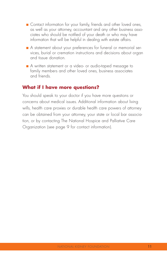- Contact information for your family, friends and other loved ones, as well as your attorney, accountant and any other business associates who should be notified of your death or who may have information that will be helpful in dealing with estate affairs.
- A statement about your preferences for funeral or memorial services, burial or cremation instructions and decisions about organ and tissue donation.
- A written statement or a video- or audio-taped message to family members and other loved ones, business associates and friends.

#### **What if I have more questions?**

You should speak to your doctor if you have more questions or concerns about medical issues. Additional information about living wills, health care proxies or durable health care powers of attorney can be obtained from your attorney, your state or local bar association, or by contacting The National Hospice and Palliative Care Organization (see page 9 for contact information).